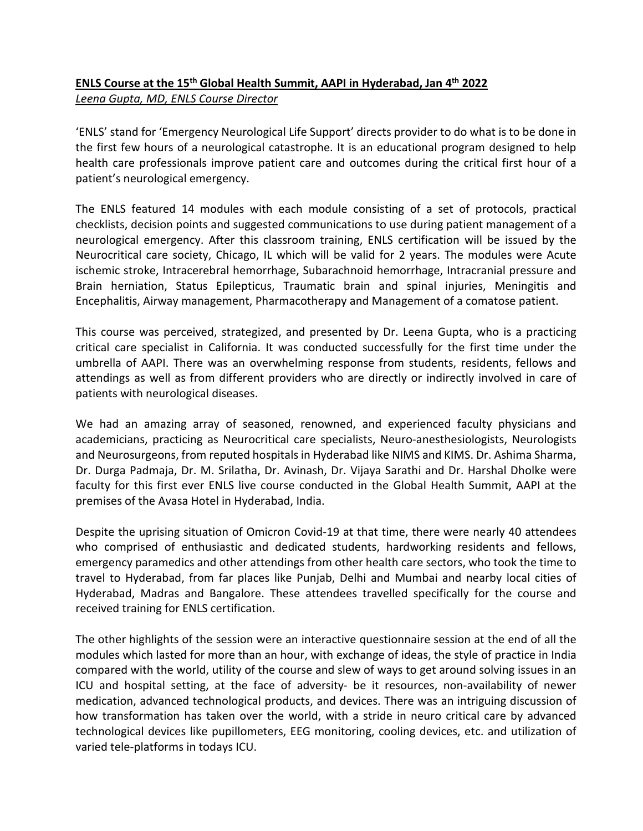## **ENLS Course at the 15th Global Health Summit, AAPI in Hyderabad, Jan 4th 2022** *Leena Gupta, MD, ENLS Course Director*

'ENLS' stand for 'Emergency Neurological Life Support' directs provider to do what is to be done in the first few hours of a neurological catastrophe. It is an educational program designed to help health care professionals improve patient care and outcomes during the critical first hour of a patient's neurological emergency.

The ENLS featured 14 modules with each module consisting of a set of protocols, practical checklists, decision points and suggested communications to use during patient management of a neurological emergency. After this classroom training, ENLS certification will be issued by the Neurocritical care society, Chicago, IL which will be valid for 2 years. The modules were Acute ischemic stroke, Intracerebral hemorrhage, Subarachnoid hemorrhage, Intracranial pressure and Brain herniation, Status Epilepticus, Traumatic brain and spinal injuries, Meningitis and Encephalitis, Airway management, Pharmacotherapy and Management of a comatose patient.

This course was perceived, strategized, and presented by Dr. Leena Gupta, who is a practicing critical care specialist in California. It was conducted successfully for the first time under the umbrella of AAPI. There was an overwhelming response from students, residents, fellows and attendings as well as from different providers who are directly or indirectly involved in care of patients with neurological diseases.

We had an amazing array of seasoned, renowned, and experienced faculty physicians and academicians, practicing as Neurocritical care specialists, Neuro-anesthesiologists, Neurologists and Neurosurgeons, from reputed hospitals in Hyderabad like NIMS and KIMS. Dr. Ashima Sharma, Dr. Durga Padmaja, Dr. M. Srilatha, Dr. Avinash, Dr. Vijaya Sarathi and Dr. Harshal Dholke were faculty for this first ever ENLS live course conducted in the Global Health Summit, AAPI at the premises of the Avasa Hotel in Hyderabad, India.

Despite the uprising situation of Omicron Covid-19 at that time, there were nearly 40 attendees who comprised of enthusiastic and dedicated students, hardworking residents and fellows, emergency paramedics and other attendings from other health care sectors, who took the time to travel to Hyderabad, from far places like Punjab, Delhi and Mumbai and nearby local cities of Hyderabad, Madras and Bangalore. These attendees travelled specifically for the course and received training for ENLS certification.

The other highlights of the session were an interactive questionnaire session at the end of all the modules which lasted for more than an hour, with exchange of ideas, the style of practice in India compared with the world, utility of the course and slew of ways to get around solving issues in an ICU and hospital setting, at the face of adversity- be it resources, non-availability of newer medication, advanced technological products, and devices. There was an intriguing discussion of how transformation has taken over the world, with a stride in neuro critical care by advanced technological devices like pupillometers, EEG monitoring, cooling devices, etc. and utilization of varied tele-platforms in todays ICU.